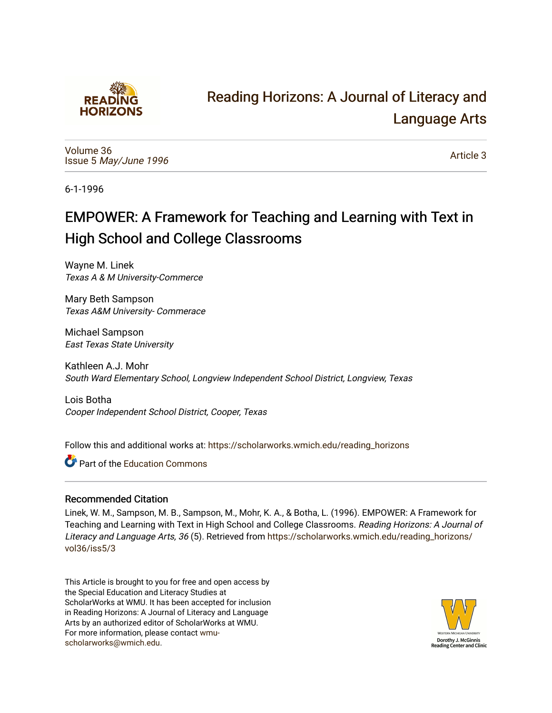

## [Reading Horizons: A Journal of Literacy and](https://scholarworks.wmich.edu/reading_horizons)  [Language Arts](https://scholarworks.wmich.edu/reading_horizons)

[Volume 36](https://scholarworks.wmich.edu/reading_horizons/vol36) Issue 5 [May/June 1996](https://scholarworks.wmich.edu/reading_horizons/vol36/iss5) 

[Article 3](https://scholarworks.wmich.edu/reading_horizons/vol36/iss5/3) 

6-1-1996

## EMPOWER: A Framework for Teaching and Learning with Text in High School and College Classrooms

Wayne M. Linek Texas A & M University-Commerce

Mary Beth Sampson Texas A&M University- Commerace

Michael Sampson East Texas State University

Kathleen A.J. Mohr South Ward Elementary School, Longview Independent School District, Longview, Texas

Lois Botha Cooper Independent School District, Cooper, Texas

Follow this and additional works at: [https://scholarworks.wmich.edu/reading\\_horizons](https://scholarworks.wmich.edu/reading_horizons?utm_source=scholarworks.wmich.edu%2Freading_horizons%2Fvol36%2Fiss5%2F3&utm_medium=PDF&utm_campaign=PDFCoverPages)

**C** Part of the [Education Commons](http://network.bepress.com/hgg/discipline/784?utm_source=scholarworks.wmich.edu%2Freading_horizons%2Fvol36%2Fiss5%2F3&utm_medium=PDF&utm_campaign=PDFCoverPages)

#### Recommended Citation

Linek, W. M., Sampson, M. B., Sampson, M., Mohr, K. A., & Botha, L. (1996). EMPOWER: A Framework for Teaching and Learning with Text in High School and College Classrooms. Reading Horizons: A Journal of Literacy and Language Arts, 36 (5). Retrieved from [https://scholarworks.wmich.edu/reading\\_horizons/](https://scholarworks.wmich.edu/reading_horizons/vol36/iss5/3?utm_source=scholarworks.wmich.edu%2Freading_horizons%2Fvol36%2Fiss5%2F3&utm_medium=PDF&utm_campaign=PDFCoverPages) [vol36/iss5/3](https://scholarworks.wmich.edu/reading_horizons/vol36/iss5/3?utm_source=scholarworks.wmich.edu%2Freading_horizons%2Fvol36%2Fiss5%2F3&utm_medium=PDF&utm_campaign=PDFCoverPages)

This Article is brought to you for free and open access by the Special Education and Literacy Studies at ScholarWorks at WMU. It has been accepted for inclusion in Reading Horizons: A Journal of Literacy and Language Arts by an authorized editor of ScholarWorks at WMU. For more information, please contact [wmu](mailto:wmu-scholarworks@wmich.edu)[scholarworks@wmich.edu.](mailto:wmu-scholarworks@wmich.edu)

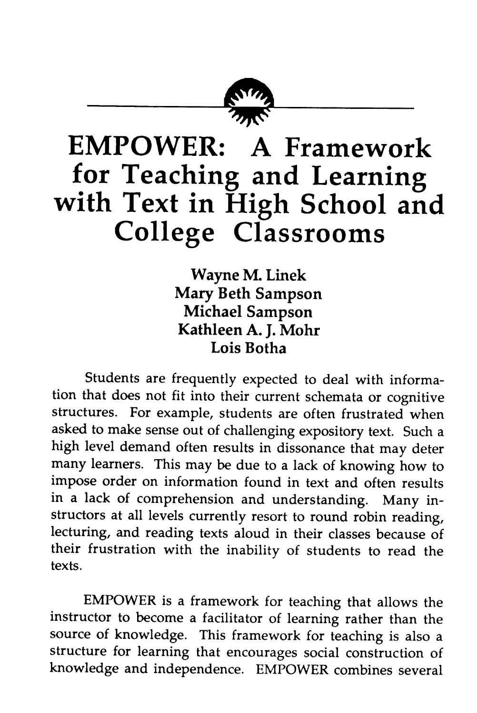

# *EMPOWER: A Framework for Teaching and Learning with Text in High School and College Classrooms*

*Wayne M. Linek Mary Beth Sampson Michael Sampson Kathleen A. J. Mohr Lois Botha*

Students are frequently expected to deal with informa tion that does not fit into their current schemata or cognitive structures. For example, students are often frustrated when asked to make sense out of challenging expository text. Such a high level demand often results in dissonance that may deter many learners. This may be due to a lack of knowing how to impose order on information found in text and often results in a lack of comprehension and understanding. Many in structors at all levels currently resort to round robin reading, lecturing, and reading texts aloud in their classes because of their frustration with the inability of students to read the texts.

EMPOWER is a framework for teaching that allows the instructor to become a facilitator of learning rather than the source of knowledge. This framework for teaching is also a structure for learning that encourages social construction of knowledge and independence. EMPOWER combines several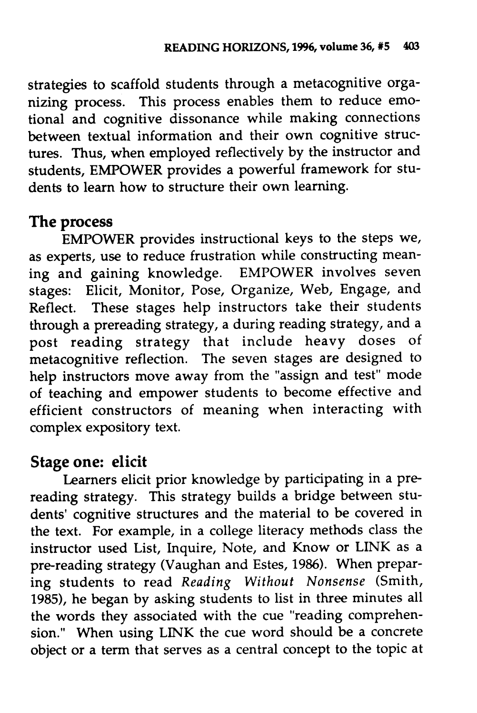strategies to scaffold students through a metacognitive orga nizing process. This process enables them to reduce emo tional and cognitive dissonance while making connections between textual information and their own cognitive struc tures. Thus, when employed reflectively by the instructor and students, EMPOWER provides a powerful framework for stu dents to learn how to structure their own learning.

### *The process*

EMPOWER provides instructional keys to the steps we, as experts, use to reduce frustration while constructing meaning and gaining knowledge. EMPOWER involves seven stages: Elicit, Monitor, Pose, Organize, Web, Engage, and Reflect. These stages help instructors take their students through a prereading strategy, a during reading strategy, and a post reading strategy that include heavy doses of metacognitive reflection. The seven stages are designed to help instructors move away from the "assign and test" mode of teaching and empower students to become effective and efficient constructors of meaning when interacting with complex expository text.

### *Stage one: elicit*

Learners elicit prior knowledge by participating in a prereading strategy. This strategy builds a bridge between students' cognitive structures and the material to be covered in the text. For example, in a college literacy methods class the instructor used List, Inquire, Note, and Know or LINK as a pre-reading strategy (Vaughan and Estes, 1986). When prepar ing students to read **Reading Without Nonsense** (Smith, 1985), he began by asking students to list in three minutes all the words they associated with the cue "reading comprehen sion." When using LINK the cue word should be a concrete object or a term that serves as a central concept to the topic at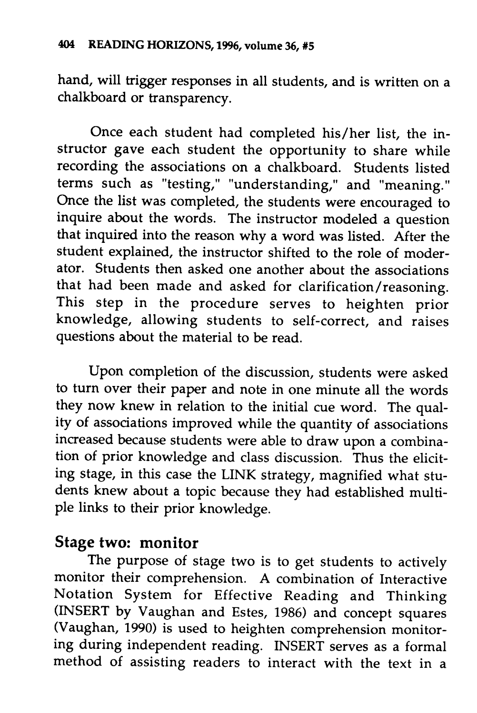hand, will trigger responses in all students, and is written on a chalkboard or transparency.

Once each student had completed his/her list, the in structor gave each student the opportunity to share while recording the associations on a chalkboard. Students listed terms such as "testing," "understanding," and "meaning." Once the list was completed, the students were encouraged to inquire about the words. The instructor modeled a question that inquired into the reason why a word was listed. After the student explained, the instructor shifted to the role of moder ator. Students then asked one another about the associations that had been made and asked for clarification/reasoning. This step in the procedure serves to heighten prior knowledge, allowing students to self-correct, and raises questions about the material to be read.

Upon completion of the discussion, students were asked to turn over their paper and note in one minute all the words they now knew in relation to the initial cue word. The qual ity of associations improved while the quantity of associations increased because students were able to draw upon a combina tion of prior knowledge and class discussion. Thus the elicit ing stage, in this case the LINK strategy, magnified what stu dents knew about a topic because they had established multi ple links to their prior knowledge.

### *Stage two: monitor*

The purpose of stage two is to get students to actively monitor their comprehension. A combination of Interactive Notation System for Effective Reading and Thinking (INSERT by Vaughan and Estes, 1986) and concept squares (Vaughan, 1990) is used to heighten comprehension monitor ing during independent reading. INSERT serves as a formal method of assisting readers to interact with the text in a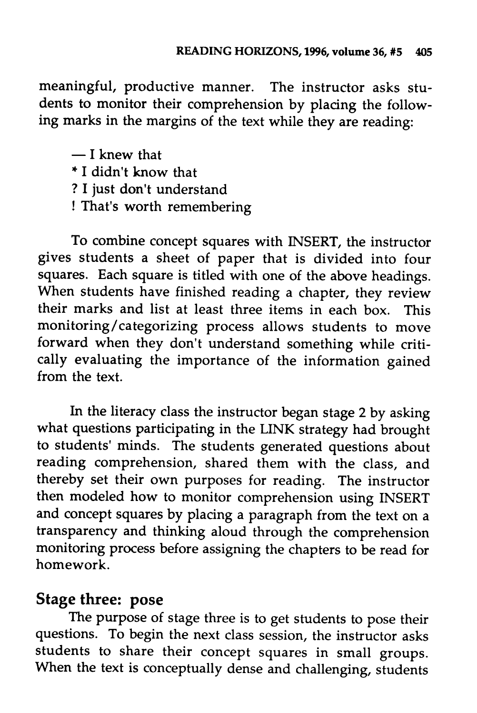meaningful, productive manner. The instructor asks stu dents to monitor their comprehension by placing the follow ing marks in the margins of the text while they are reading:

— I knew that

- \* I didn't know that
- ? I just don't understand
- ! That's worth remembering

To combine concept squares with INSERT, the instructor gives students a sheet of paper that is divided into four squares. Each square is titled with one of the above headings. When students have finished reading a chapter, they review their marks and list at least three items in each box. This monitoring/categorizing process allows students to move forward when they don't understand something while criti cally evaluating the importance of the information gained from the text.

In the literacy class the instructor began stage 2 by asking what questions participating in the LINK strategy had brought to students' minds. The students generated questions about reading comprehension, shared them with the class, and thereby set their own purposes for reading. The instructor then modeled how to monitor comprehension using INSERT and concept squares by placing a paragraph from the text on a transparency and thinking aloud through the comprehension monitoring process before assigning the chapters to be read for homework.

#### *Stage three: pose*

The purpose of stage three is to get students to pose their questions. To begin the next class session, the instructor asks students to share their concept squares in small groups. When the text is conceptually dense and challenging, students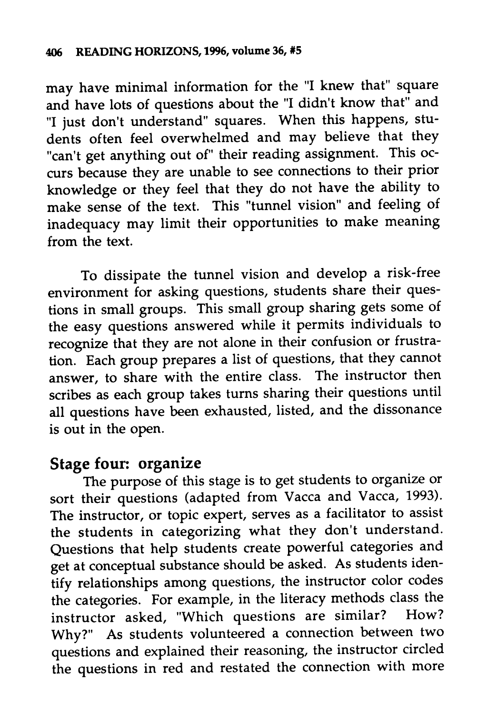may have minimal information for the "I knew that" square and have lots of questions about the "I didn't know that" and "I just don't understand" squares. When this happens, stu dents often feel overwhelmed and may believe that they "can't get anything out of" their reading assignment. This occurs because they are unable to see connections to their prior knowledge or they feel that they do not have the ability to make sense of the text. This "tunnel vision" and feeling of inadequacy may limit their opportunities to make meaning from the text.

To dissipate the tunnel vision and develop a risk-free environment for asking questions, students share their ques tions in small groups. This small group sharing gets some of the easy questions answered while it permits individuals to recognize that they are not alone in their confusion or frustra tion. Each group prepares a list of questions, that they cannot<br>answer, to share with the entire class. The instructor then answer, to share with the entire class. scribes as each group takes turns sharing their questions until all questions have been exhausted, listed, and the dissonance is out in the open.

### *Stage four: organize*

The purpose of this stage is to get students to organize or sort their questions (adapted from Vacca and Vacca, 1993). The instructor, or topic expert, serves as a facilitator to assist the students in categorizing what they don't understand. Questions that help students create powerful categories and get at conceptual substance should be asked. As students identify relationships among questions, the instructor color codes the categories. For example, in the literacy methods class the instructor asked, "Which questions are similar? How? Why?" As students volunteered a connection between two questions and explained their reasoning, the instructor circled the questions in red and restated the connection with more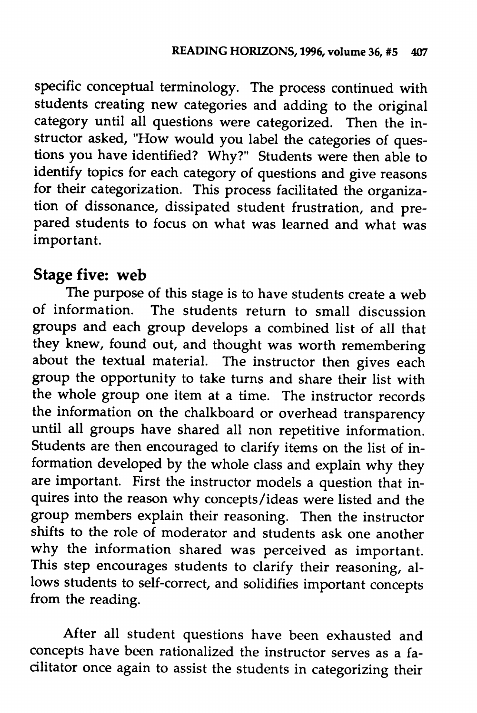specific conceptual terminology. The process continued with students creating new categories and adding to the original category until all questions were categorized. Then the in structor asked, "How would you label the categories of ques tions you have identified? Why?" Students were then able to identify topics for each category of questions and give reasons for their categorization. This process facilitated the organization of dissonance, dissipated student frustration, and pre pared students to focus on what was learned and what was important.

#### *Stage five: web*

The purpose of this stage is to have students create a web of information. The students return to small discussion groups and each group develops a combined list of all that they knew, found out, and thought was worth remembering about the textual material. The instructor then gives each group the opportunity to take turns and share their list with the whole group one item at a time. The instructor records the information on the chalkboard or overhead transparency until all groups have shared all non repetitive information. Students are then encouraged to clarify items on the list of in formation developed by the whole class and explain why they are important. First the instructor models a question that in quires into the reason why concepts/ideas were listed and the group members explain their reasoning. Then the instructor shifts to the role of moderator and students ask one another why the information shared was perceived as important. This step encourages students to clarify their reasoning, allows students to self-correct, and solidifies important concepts from the reading.

After all student questions have been exhausted and concepts have been rationalized the instructor serves as a fa cilitator once again to assist the students in categorizing their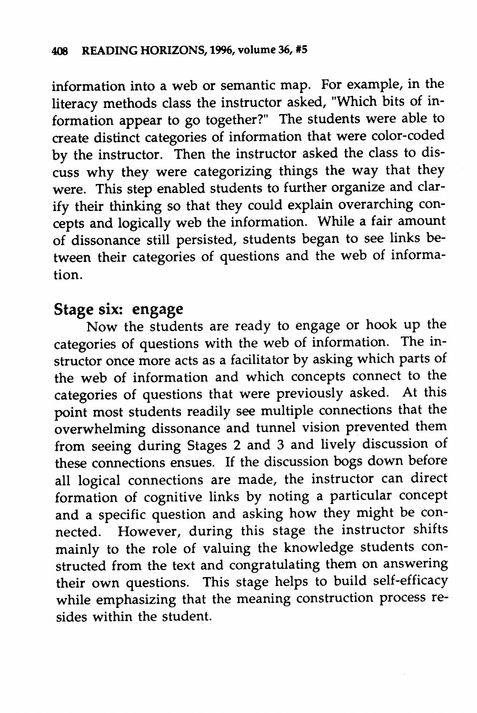information into a web or semantic map. For example, in the literacy methods class the instructor asked, "Which bits of in formation appear to go together?" The students were able to create distinct categories of information that were color-coded by the instructor. Then the instructor asked the class to dis cuss why they were categorizing things the way that they were. This step enabled students to further organize and clarify their thinking so that they could explain overarching con cepts and logically web the information. While a fair amount of dissonance still persisted, students began to see links be tween their categories of questions and the web of informa tion.

#### *Stage six: engage*

Now the students are ready to engage or hook up the categories of questions with the web of information. The in structor once more acts as a facilitator by asking which parts of the web of information and which concepts connect to the categories of questions that were previously asked. At this point most students readily see multiple connections that the overwhelming dissonance and tunnel vision prevented them from seeing during Stages 2 and 3 and lively discussion of these connections ensues. If the discussion bogs down before all logical connections are made, the instructor can direct formation of cognitive links by noting a particular concept and a specific question and asking how they might be con nected. However, during this stage the instructor shifts mainly to the role of valuing the knowledge students con structed from the text and congratulating them on answering their own questions. This stage helps to build self-efficacy while emphasizing that the meaning construction process re sides within the student.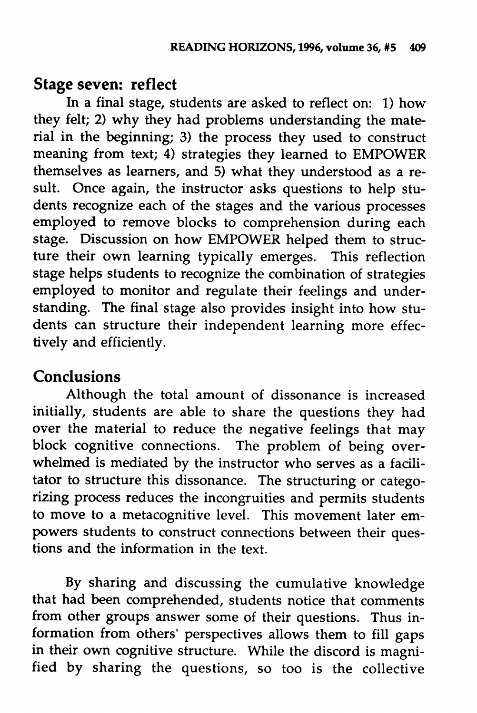### *Stage seven: reflect*

In a final stage, students are asked to reflect on: 1) how they felt; 2) why they had problems understanding the material in the beginning; 3) the process they used to construct meaning from text; 4) strategies they learned to EMPOWER themselves as learners, and 5) what they understood as a re sult. Once again, the instructor asks questions to help students recognize each of the stages and the various processes employed to remove blocks to comprehension during each stage. Discussion on how EMPOWER helped them to struc ture their own learning typically emerges. This reflection stage helps students to recognize the combination of strategies employed to monitor and regulate their feelings and under standing. The final stage also provides insight into how students can structure their independent learning more effec tively and efficiently.

### *Conclusions*

Although the total amount of dissonance is increased initially, students are able to share the questions they had over the material to reduce the negative feelings that may block cognitive connections. The problem of being over whelmed is mediated by the instructor who serves as a facili tator to structure this dissonance. The structuring or catego rizing process reduces the incongruities and permits students to move to a metacognitive level. This movement later em powers students to construct connections between their ques tions and the information in the text.

By sharing and discussing the cumulative knowledge that had been comprehended, students notice that comments from other groups answer some of their questions. Thus in formation from others' perspectives allows them to fill gaps in their own cognitive structure. While the discord is magnified by sharing the questions, so too is the collective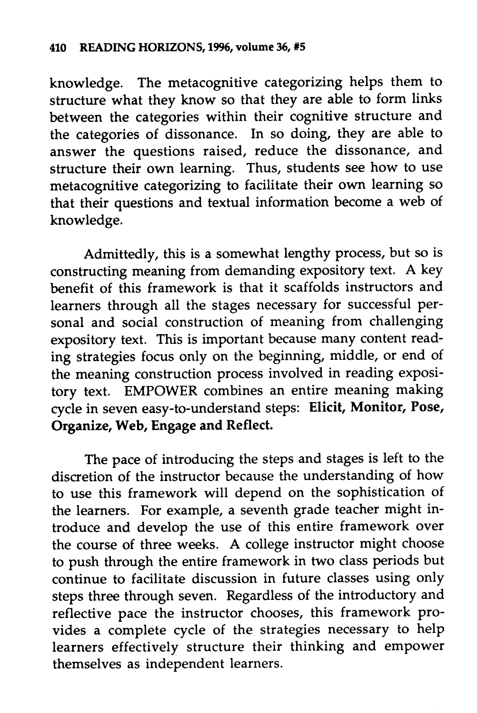knowledge. The metacognitive categorizing helps them to structure what they know so that they are able to form links between the categories within their cognitive structure and the categories of dissonance. In so doing, they are able to answer the questions raised, reduce the dissonance, and structure their own learning. Thus, students see how to use metacognitive categorizing to facilitate their own learning so that their questions and textual information become a web of knowledge.

Admittedly, this is a somewhat lengthy process, but so is constructing meaning from demanding expository text. A key benefit of this framework is that it scaffolds instructors and learners through all the stages necessary for successful per sonal and social construction of meaning from challenging expository text. This is important because many content reading strategies focus only on the beginning, middle, or end of the meaning construction process involved in reading exposi tory text. EMPOWER combines an entire meaning making cycle in seven easy-to-understand steps: *Elicit, Monitor, Pose, Organize, Web, Engage and Reflect.*

The pace of introducing the steps and stages is left to the discretion of the instructor because the understanding of how to use this framework will depend on the sophistication of the learners. For example, a seventh grade teacher might in troduce and develop the use of this entire framework over the course of three weeks. A college instructor might choose to push through the entire framework in two class periods but continue to facilitate discussion in future classes using only steps three through seven. Regardless of the introductory and reflective pace the instructor chooses, this framework pro vides a complete cycle of the strategies necessary to help learners effectively structure their thinking and empower themselves as independent learners.